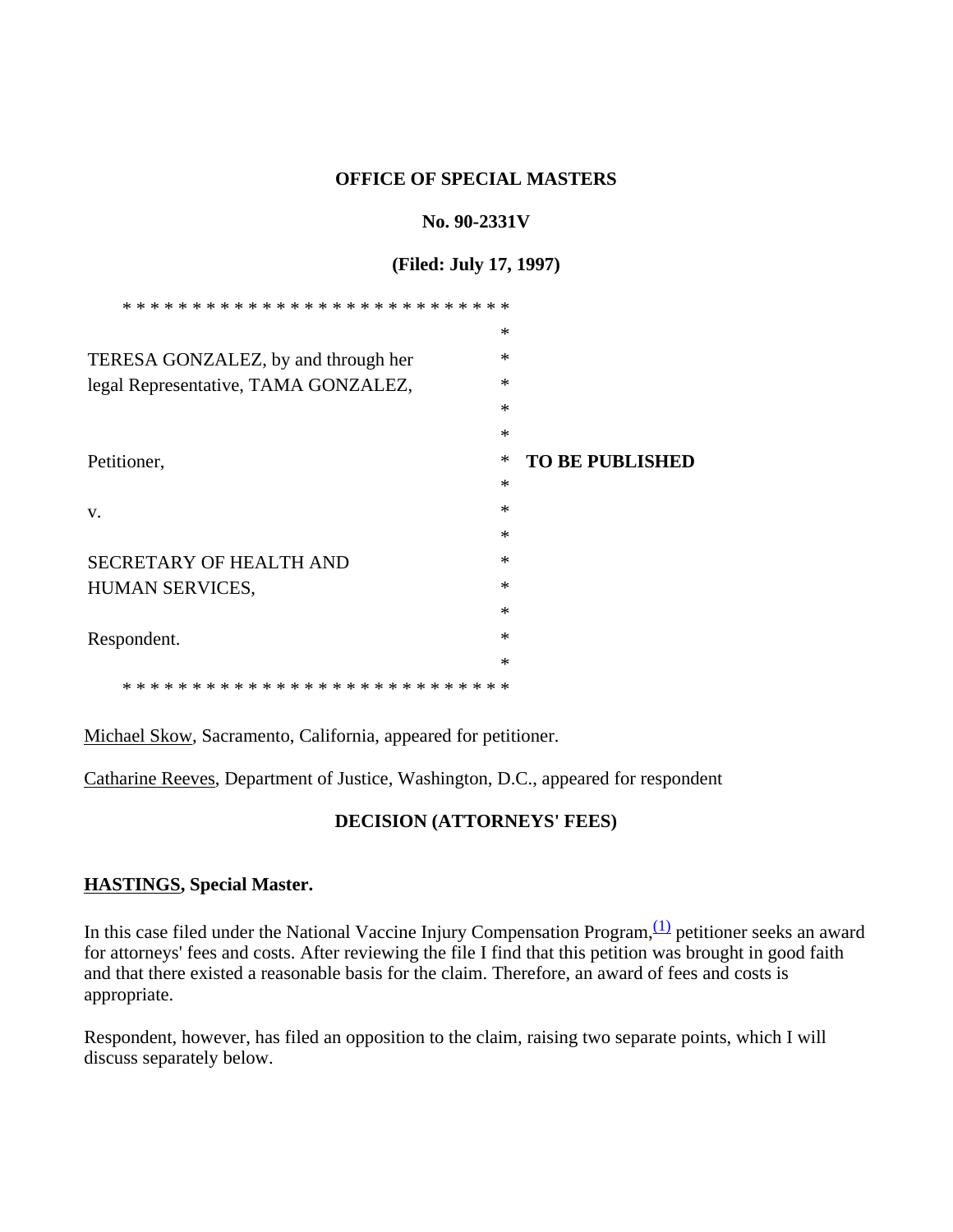### **OFFICE OF SPECIAL MASTERS**

### No. 90-2331V

### (Filed: July 17, 1997)

|                                      | $\ast$ |                        |
|--------------------------------------|--------|------------------------|
| TERESA GONZALEZ, by and through her  | ∗      |                        |
| legal Representative, TAMA GONZALEZ, | $\ast$ |                        |
|                                      | $\ast$ |                        |
|                                      | $\ast$ |                        |
| Petitioner,                          | ∗      | <b>TO BE PUBLISHED</b> |
|                                      | $\ast$ |                        |
| V.                                   | $\ast$ |                        |
|                                      | $\ast$ |                        |
| <b>SECRETARY OF HEALTH AND</b>       | ∗      |                        |
| HUMAN SERVICES,                      | ∗      |                        |
|                                      | ∗      |                        |
| Respondent.                          | $\ast$ |                        |
|                                      | $\ast$ |                        |
|                                      |        |                        |

Michael Skow, Sacramento, California, appeared for petitioner.

Catharine Reeves, Department of Justice, Washington, D.C., appeared for respondent

# **DECISION (ATTORNEYS' FEES)**

### **HASTINGS, Special Master.**

In this case filed under the National Vaccine Injury Compensation Program,<sup>(1)</sup> petitioner seeks an award for attorneys' fees and costs. After reviewing the file I find that this petition was brought in good faith and that there existed a reasonable basis for the claim. Therefore, an award of fees and costs is appropriate.

Respondent, however, has filed an opposition to the claim, raising two separate points, which I will discuss separately below.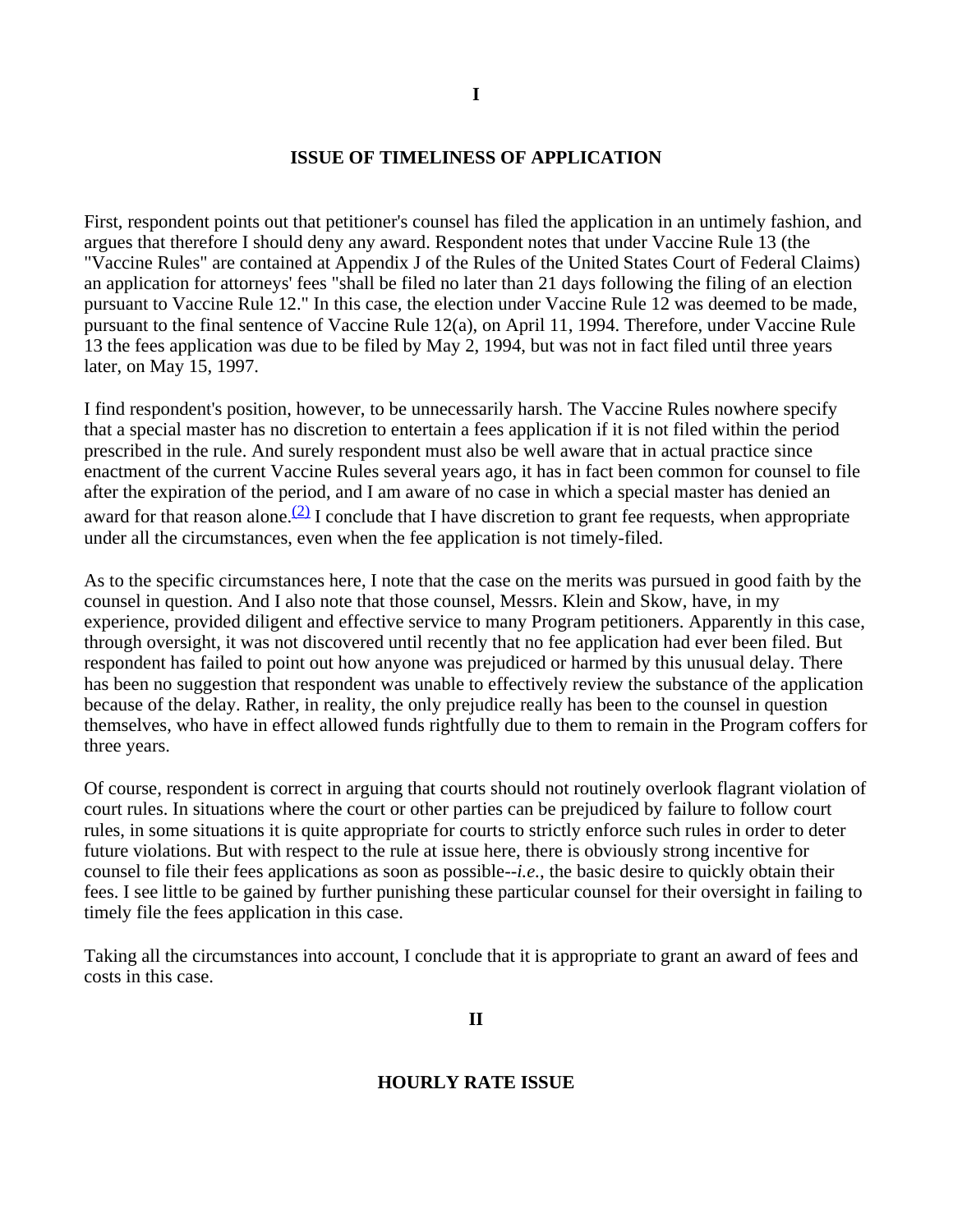### **ISSUE OF TIMELINESS OF APPLICATION**

First, respondent points out that petitioner's counsel has filed the application in an untimely fashion, and argues that therefore I should deny any award. Respondent notes that under Vaccine Rule 13 (the "Vaccine Rules" are contained at Appendix J of the Rules of the United States Court of Federal Claims) an application for attorneys' fees "shall be filed no later than 21 days following the filing of an election pursuant to Vaccine Rule 12." In this case, the election under Vaccine Rule 12 was deemed to be made, pursuant to the final sentence of Vaccine Rule 12(a), on April 11, 1994. Therefore, under Vaccine Rule 13 the fees application was due to be filed by May 2, 1994, but was not in fact filed until three years later, on May 15, 1997.

I find respondent's position, however, to be unnecessarily harsh. The Vaccine Rules nowhere specify that a special master has no discretion to entertain a fees application if it is not filed within the period prescribed in the rule. And surely respondent must also be well aware that in actual practice since enactment of the current Vaccine Rules several years ago, it has in fact been common for counsel to file after the expiration of the period, and I am aware of no case in which a special master has denied an award for that reason alone.<sup>(2)</sup> I conclude that I have discretion to grant fee requests, when appropriate under all the circumstances, even when the fee application is not timely-filed.

As to the specific circumstances here, I note that the case on the merits was pursued in good faith by the counsel in question. And I also note that those counsel, Messrs. Klein and Skow, have, in my experience, provided diligent and effective service to many Program petitioners. Apparently in this case, through oversight, it was not discovered until recently that no fee application had ever been filed. But respondent has failed to point out how anyone was prejudiced or harmed by this unusual delay. There has been no suggestion that respondent was unable to effectively review the substance of the application because of the delay. Rather, in reality, the only prejudice really has been to the counsel in question themselves, who have in effect allowed funds rightfully due to them to remain in the Program coffers for three years.

Of course, respondent is correct in arguing that courts should not routinely overlook flagrant violation of court rules. In situations where the court or other parties can be prejudiced by failure to follow court rules, in some situations it is quite appropriate for courts to strictly enforce such rules in order to deter future violations. But with respect to the rule at issue here, there is obviously strong incentive for counsel to file their fees applications as soon as possible--*i.e.*, the basic desire to quickly obtain their fees. I see little to be gained by further punishing these particular counsel for their oversight in failing to timely file the fees application in this case.

Taking all the circumstances into account, I conclude that it is appropriate to grant an award of fees and costs in this case.

**II**

#### **HOURLY RATE ISSUE**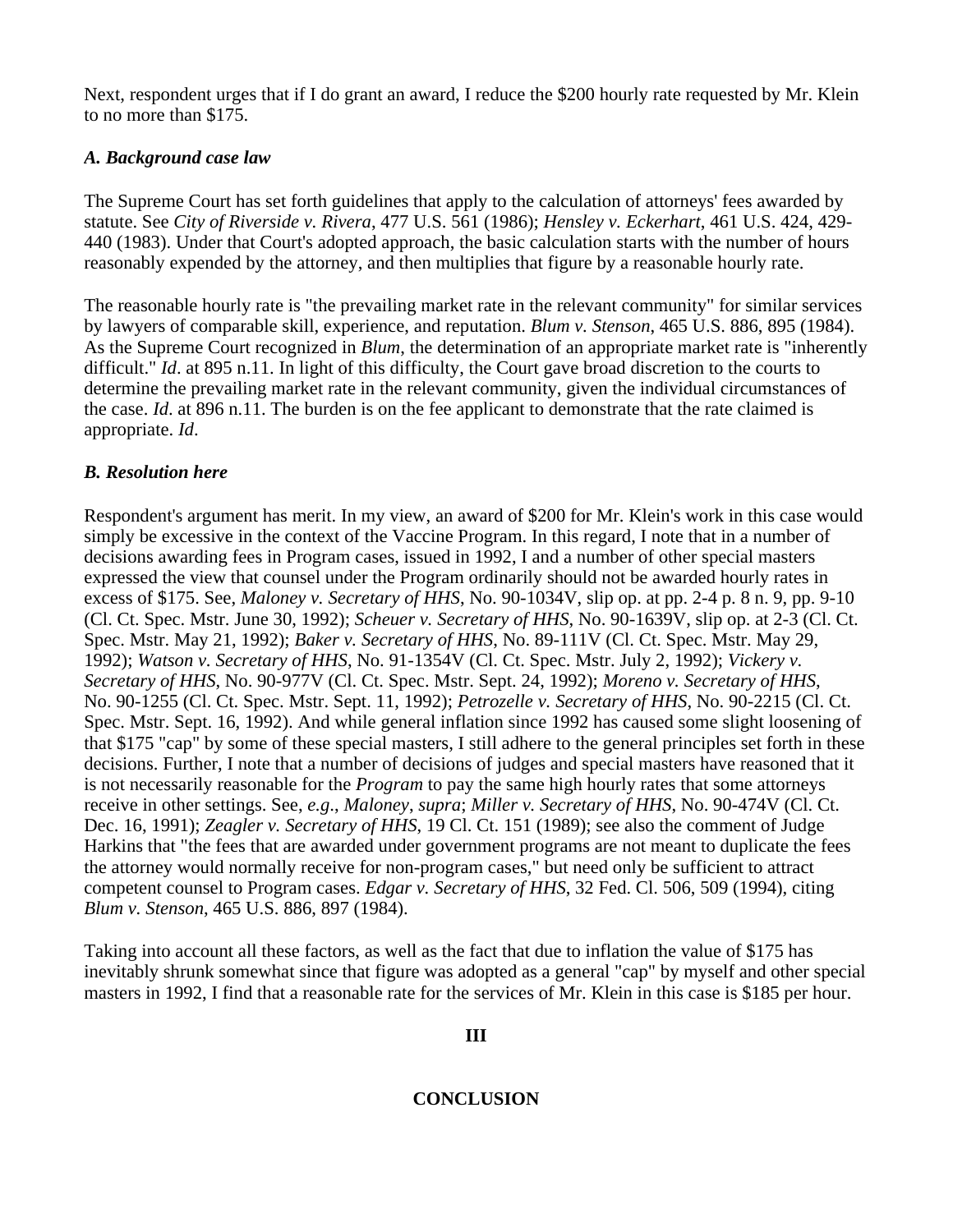Next, respondent urges that if I do grant an award, I reduce the \$200 hourly rate requested by Mr. Klein to no more than \$175.

# *A. Background case law*

The Supreme Court has set forth guidelines that apply to the calculation of attorneys' fees awarded by statute. See *City of Riverside v. Rivera*, 477 U.S. 561 (1986); *Hensley v. Eckerhart*, 461 U.S. 424, 429- 440 (1983). Under that Court's adopted approach, the basic calculation starts with the number of hours reasonably expended by the attorney, and then multiplies that figure by a reasonable hourly rate.

The reasonable hourly rate is "the prevailing market rate in the relevant community" for similar services by lawyers of comparable skill, experience, and reputation. *Blum v. Stenson*, 465 U.S. 886, 895 (1984). As the Supreme Court recognized in *Blum*, the determination of an appropriate market rate is "inherently difficult." *Id.* at 895 n.11. In light of this difficulty, the Court gave broad discretion to the courts to determine the prevailing market rate in the relevant community, given the individual circumstances of the case. *Id*. at 896 n.11. The burden is on the fee applicant to demonstrate that the rate claimed is appropriate. *Id*.

# *B. Resolution here*

Respondent's argument has merit. In my view, an award of \$200 for Mr. Klein's work in this case would simply be excessive in the context of the Vaccine Program. In this regard, I note that in a number of decisions awarding fees in Program cases, issued in 1992, I and a number of other special masters expressed the view that counsel under the Program ordinarily should not be awarded hourly rates in excess of \$175. See, *Maloney v. Secretary of HHS*, No. 90-1034V, slip op. at pp. 2-4 p. 8 n. 9, pp. 9-10 (Cl. Ct. Spec. Mstr. June 30, 1992); *Scheuer v. Secretary of HHS*, No. 90-1639V, slip op. at 2-3 (Cl. Ct. Spec. Mstr. May 21, 1992); *Baker v. Secretary of HHS*, No. 89-111V (Cl. Ct. Spec. Mstr. May 29, 1992); *Watson v. Secretary of HHS*, No. 91-1354V (Cl. Ct. Spec. Mstr. July 2, 1992); *Vickery v. Secretary of HHS*, No. 90-977V (Cl. Ct. Spec. Mstr. Sept. 24, 1992); *Moreno v. Secretary of HHS*, No. 90-1255 (Cl. Ct. Spec. Mstr. Sept. 11, 1992); *Petrozelle v. Secretary of HHS*, No. 90-2215 (Cl. Ct. Spec. Mstr. Sept. 16, 1992). And while general inflation since 1992 has caused some slight loosening of that \$175 "cap" by some of these special masters, I still adhere to the general principles set forth in these decisions. Further, I note that a number of decisions of judges and special masters have reasoned that it is not necessarily reasonable for the *Program* to pay the same high hourly rates that some attorneys receive in other settings. See, *e.g*., *Maloney*, *supra*; *Miller v. Secretary of HHS*, No. 90-474V (Cl. Ct. Dec. 16, 1991); *Zeagler v. Secretary of HHS*, 19 Cl. Ct. 151 (1989); see also the comment of Judge Harkins that "the fees that are awarded under government programs are not meant to duplicate the fees the attorney would normally receive for non-program cases," but need only be sufficient to attract competent counsel to Program cases. *Edgar v. Secretary of HHS*, 32 Fed. Cl. 506, 509 (1994), citing *Blum v. Stenson*, 465 U.S. 886, 897 (1984).

Taking into account all these factors, as well as the fact that due to inflation the value of \$175 has inevitably shrunk somewhat since that figure was adopted as a general "cap" by myself and other special masters in 1992, I find that a reasonable rate for the services of Mr. Klein in this case is \$185 per hour.

# **III**

# **CONCLUSION**